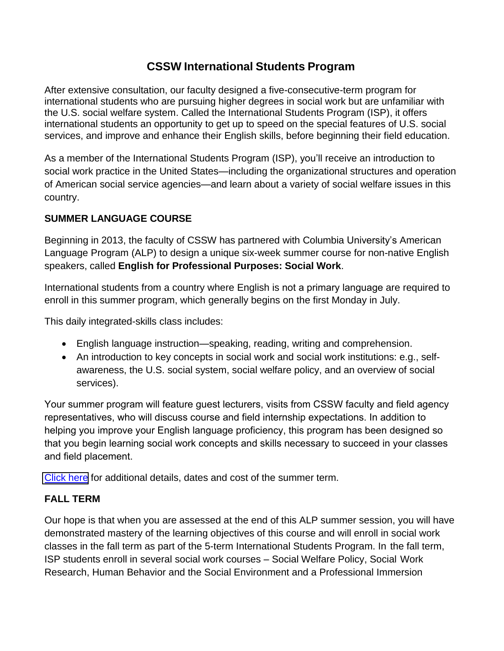## **CSSW International Students Program**

After extensive consultation, our faculty designed a five-consecutive-term program for international students who are pursuing higher degrees in social work but are unfamiliar with the U.S. social welfare system. Called the International Students Program (ISP), it offers international students an opportunity to get up to speed on the special features of U.S. social services, and improve and enhance their English skills, before beginning their field education.

As a member of the International Students Program (ISP), you'll receive an introduction to social work practice in the United States—including the organizational structures and operation of American social service agencies—and learn about a variety of social welfare issues in this country.

## **SUMMER LANGUAGE COURSE**

Beginning in 2013, the faculty of CSSW has partnered with Columbia University's American Language Program (ALP) to design a unique six-week summer course for non-native English speakers, called **English for Professional Purposes: Social Work**.

International students from a country where English is not a primary language are required to enroll in this summer program, which generally begins on the first Monday in July.

This daily integrated-skills class includes:

- English language instruction—speaking, reading, writing and comprehension.
- An introduction to key concepts in social work and social work institutions: e.g., selfawareness, the U.S. social system, social welfare policy, and an overview of social services).

Your summer program will feature guest lecturers, visits from CSSW faculty and field agency representatives, who will discuss course and field internship expectations. In addition to helping you improve your English language proficiency, this program has been designed so that you begin learning social work concepts and skills necessary to succeed in your classes [and field pl](http://sps.columbia.edu/alp/programs/english-for-social-work-summer)acement.

[Click here](http://sps.columbia.edu/alp/programs/english-for-social-work-summer) for additional details, dates and cost of the summer term.

## **FALL TERM**

Our hope is that when you are assessed at the end of this ALP summer session, you will have demonstrated mastery of the learning objectives of this course and will enroll in social work classes in the fall term as part of the 5-term International Students Program. In the fall term, ISP students enroll in several social work courses – Social Welfare Policy, Social Work Research, Human Behavior and the Social Environment and a Professional Immersion